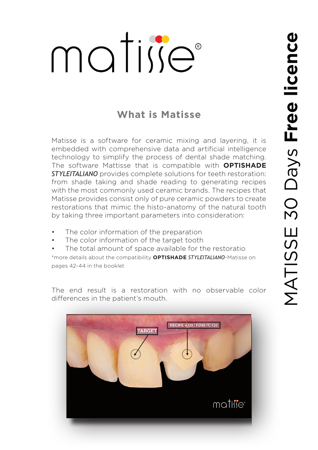## matise®

## **What is Matisse**

Matisse is a software for ceramic mixing and layering, it is embedded with comprehensive data and artificial intelligence technology to simplify the process of dental shade matching. The software Mattisse that is compatible with **OPTISHADE** *STYLEITALIANO* provides complete solutions for teeth restoration: from shade taking and shade reading to generating recipes with the most commonly used ceramic brands. The recipes that Matisse provides consist only of pure ceramic powders to create restorations that mimic the histo-anatomy of the natural tooth by taking three important parameters into consideration:

- The color information of the preparation
- The color information of the target tooth
- The total amount of space available for the restoratio

\*more details about the compatibility **OPTISHADE** *STYLEITALIANO*-Matisse on pages 42-44 in the booklet

The end result is a restoration with no observable color differences in the patient's mouth.